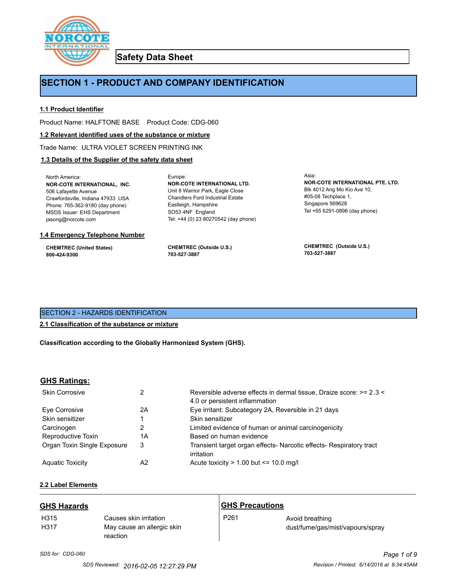

**Safety Data Sheet**

## **SECTION 1 - PRODUCT AND COMPANY IDENTIFICATION**

Europe:

#### **1.1 Product Identifier**

Product Name: HALFTONE BASE Product Code: CDG-060

#### **1.2 Relevant identified uses of the substance or mixture**

Trade Name: ULTRA VIOLET SCREEN PRINTING INK

## **1.3 Details of the Supplier of the safety data sheet**

North America: **NOR-COTE INTERNATIONAL, INC.** 506 Lafayette Avenue Crawfordsville, Indiana 47933 USA Phone: 765-362-9180 (day phone) MSDS Issuer: EHS Department jasong@norcote.com

#### **1.4 Emergency Telephone Number**

**CHEMTREC (United States) 800-424-9300**

**CHEMTREC (Outside U.S.) 703-527-3887**

Eastleigh, Hampshire SO53 4NF England

**NOR-COTE INTERNATIONAL LTD.** Unit 8 Warrior Park, Eagle Close Chandlers Ford Industrial Estate

Tel: +44 (0) 23 80270542 (day phone)

Asia: **NOR-COTE INTERNATIONAL PTE. LTD.** Blk 4012 Ang Mo Kio Ave 10, #05-08 Techplace 1, Singapore 569628 Tel +65 6291-0898 (day phone)

**CHEMTREC (Outside U.S.) 703-527-3887**

## SECTION 2 - HAZARDS IDENTIFICATION

#### **2.1 Classification of the substance or mixture**

**Classification according to the Globally Harmonized System (GHS).**

#### **GHS Ratings:**

| <b>Skin Corrosive</b>       | 2  | Reversible adverse effects in dermal tissue, Draize score: >= 2.3 <<br>4.0 or persistent inflammation |
|-----------------------------|----|-------------------------------------------------------------------------------------------------------|
| Eve Corrosive               | 2A | Eye irritant: Subcategory 2A, Reversible in 21 days                                                   |
| Skin sensitizer             |    | Skin sensitizer                                                                                       |
| Carcinogen                  |    | Limited evidence of human or animal carcinogenicity                                                   |
| Reproductive Toxin          | 1A | Based on human evidence                                                                               |
| Organ Toxin Single Exposure | 3  | Transient target organ effects- Narcotic effects- Respiratory tract<br>irritation                     |
| <b>Aguatic Toxicity</b>     | A2 | Acute toxicity $> 1.00$ but $\leq 10.0$ mg/l                                                          |

## **2.2 Label Elements**

| <b>GHS Hazards</b> |                                                                  | <b>GHS Precautions</b> |                                                     |
|--------------------|------------------------------------------------------------------|------------------------|-----------------------------------------------------|
| H315<br>H317       | Causes skin irritation<br>May cause an allergic skin<br>reaction | P <sub>261</sub>       | Avoid breathing<br>dust/fume/gas/mist/vapours/spray |

# *SDS for: CDG-060 Page 1 of 9*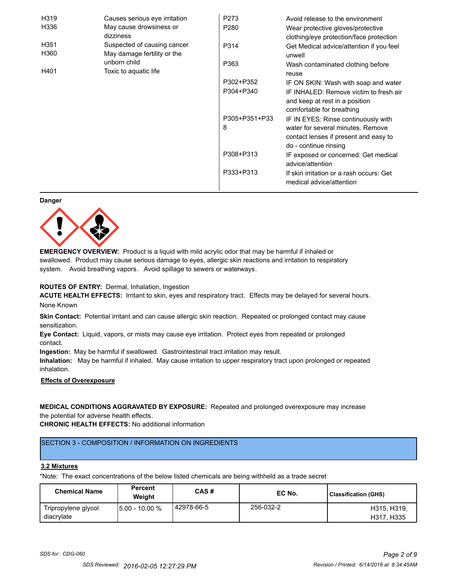| H319                 | Causes serious eye irritation                              | P273             | Avoid release to the environment                                                                      |
|----------------------|------------------------------------------------------------|------------------|-------------------------------------------------------------------------------------------------------|
| H336                 | May cause drowsiness or<br>dizziness                       | P <sub>280</sub> | Wear protective gloves/protective<br>clothing/eye protection/face protection                          |
| H351<br>H360         | Suspected of causing cancer<br>May damage fertility or the | P314             | Get Medical advice/attention if you feel<br>unwell                                                    |
| unborn child<br>H401 | Toxic to aquatic life                                      | P363             | Wash contaminated clothing before<br>reuse                                                            |
|                      |                                                            | P302+P352        | IF ON SKIN: Wash with soap and water                                                                  |
|                      |                                                            | P304+P340        | IF INHALED: Remove victim to fresh air<br>and keep at rest in a position<br>comfortable for breathing |
|                      |                                                            | P305+P351+P33    | IF IN EYES: Rinse continuously with                                                                   |
|                      |                                                            | 8                | water for several minutes. Remove<br>contact lenses if present and easy to<br>do - continue rinsing   |
|                      |                                                            | P308+P313        | IF exposed or concerned: Get medical<br>advice/attention                                              |
|                      |                                                            | P333+P313        | If skin irritation or a rash occurs: Get<br>medical advice/attention                                  |

#### **Danger**



**EMERGENCY OVERVIEW:** Product is a liquid with mild acrylic odor that may be harmful if inhaled or swallowed. Product may cause serious damage to eyes, allergic skin reactions and irritation to respiratory system. Avoid breathing vapors. Avoid spillage to sewers or waterways.

#### **ROUTES OF ENTRY:** Dermal, Inhalation, Ingestion

**ACUTE HEALTH EFFECTS:** Irritant to skin, eyes and respiratory tract. Effects may be delayed for several hours. None Known

**Skin Contact:** Potential irritant and can cause allergic skin reaction. Repeated or prolonged contact may cause sensitization.

**Eye Contact:** Liquid, vapors, or mists may cause eye irritation. Protect eyes from repeated or prolonged contact.

**Ingestion:** May be harmful if swallowed. Gastrointestinal tract irritation may result.

**Inhalation:** May be harmful if inhaled. May cause irritation to upper respiratory tract upon prolonged or repeated inhalation.

## **Effects of Overexposure**

## **MEDICAL CONDITIONS AGGRAVATED BY EXPOSURE:** Repeated and prolonged overexposure may increase the potential for adverse health effects.

**CHRONIC HEALTH EFFECTS:** No additional information

## SECTION 3 - COMPOSITION / INFORMATION ON INGREDIENTS

#### **3.2 Mixtures**

\*Note: The exact concentrations of the below listed chemicals are being withheld as a trade secret

| <b>Chemical Name</b>              | <b>Percent</b><br>Weiaht | CAS#         | EC No.    | Classification (GHS)      |
|-----------------------------------|--------------------------|--------------|-----------|---------------------------|
| Tripropylene glycol<br>diacrylate | 15.00 - 10.00 %          | l 42978-66-5 | 256-032-2 | H315, H319,<br>H317, H335 |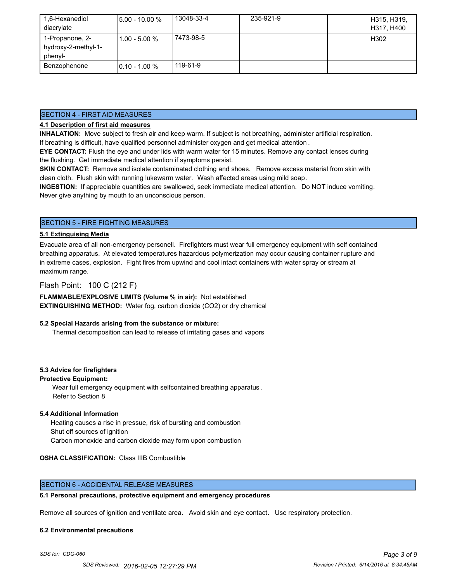| 1,6-Hexanediol<br>diacrylate                      | <b>5.00 - 10.00 %</b> | 13048-33-4 | 235-921-9 | H315, H319,<br>H317, H400 |
|---------------------------------------------------|-----------------------|------------|-----------|---------------------------|
| 1-Propanone, 2-<br>hydroxy-2-methyl-1-<br>phenyl- | l1.00 - 5.00 %        | 7473-98-5  |           | H302                      |
| Benzophenone                                      | $10.10 - 1.00 %$      | 119-61-9   |           |                           |

#### SECTION 4 - FIRST AID MEASURES

## **4.1 Description of first aid measures**

**INHALATION:** Move subject to fresh air and keep warm. If subject is not breathing, administer artificial respiration. If breathing is difficult, have qualified personnel administer oxygen and get medical attention .

**EYE CONTACT:** Flush the eye and under lids with warm water for 15 minutes. Remove any contact lenses during the flushing. Get immediate medical attention if symptoms persist.

**SKIN CONTACT:** Remove and isolate contaminated clothing and shoes. Remove excess material from skin with clean cloth. Flush skin with running lukewarm water. Wash affected areas using mild soap.

**INGESTION:** If appreciable quantities are swallowed, seek immediate medical attention. Do NOT induce vomiting. Never give anything by mouth to an unconscious person.

## SECTION 5 - FIRE FIGHTING MEASURES

#### **5.1 Extinguising Media**

Evacuate area of all non-emergency personell. Firefighters must wear full emergency equipment with self contained breathing apparatus. At elevated temperatures hazardous polymerization may occur causing container rupture and in extreme cases, explosion. Fight fires from upwind and cool intact containers with water spray or stream at maximum range.

## Flash Point: 100 C (212 F)

**FLAMMABLE/EXPLOSIVE LIMITS (Volume % in air):** Not established **EXTINGUISHING METHOD:** Water fog, carbon dioxide (CO2) or dry chemical

#### **5.2 Special Hazards arising from the substance or mixture:**

Thermal decomposition can lead to release of irritating gases and vapors

#### **5.3 Advice for firefighters**

#### **Protective Equipment:**

Wear full emergency equipment with selfcontained breathing apparatus . Refer to Section 8

#### **5.4 Additional Information**

 Heating causes a rise in pressue, risk of bursting and combustion Shut off sources of ignition Carbon monoxide and carbon dioxide may form upon combustion

#### **OSHA CLASSIFICATION:** Class IIIB Combustible

#### SECTION 6 - ACCIDENTAL RELEASE MEASURES

#### **6.1 Personal precautions, protective equipment and emergency procedures**

Remove all sources of ignition and ventilate area. Avoid skin and eye contact. Use respiratory protection.

#### **6.2 Environmental precautions**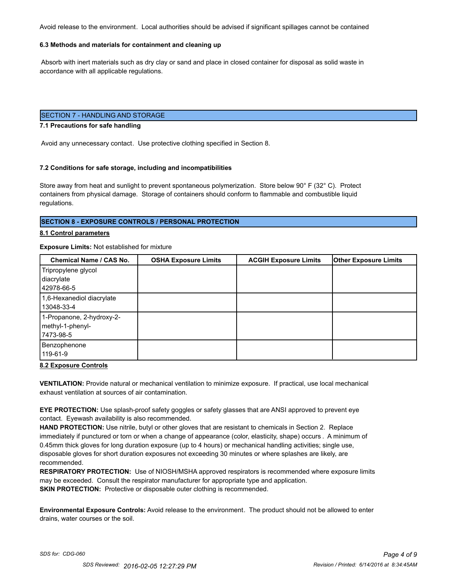Avoid release to the environment. Local authorities should be advised if significant spillages cannot be contained

#### **6.3 Methods and materials for containment and cleaning up**

 Absorb with inert materials such as dry clay or sand and place in closed container for disposal as solid waste in accordance with all applicable regulations.

## SECTION 7 - HANDLING AND STORAGE

#### **7.1 Precautions for safe handling**

Avoid any unnecessary contact. Use protective clothing specified in Section 8.

#### **7.2 Conditions for safe storage, including and incompatibilities**

Store away from heat and sunlight to prevent spontaneous polymerization. Store below 90° F (32° C). Protect containers from physical damage. Storage of containers should conform to flammable and combustible liquid regulations.

#### **SECTION 8 - EXPOSURE CONTROLS / PERSONAL PROTECTION**

#### **8.1 Control parameters**

#### **Exposure Limits:** Not established for mixture

| Chemical Name / CAS No.                                     | <b>OSHA Exposure Limits</b> | <b>ACGIH Exposure Limits</b> | <b>Other Exposure Limits</b> |
|-------------------------------------------------------------|-----------------------------|------------------------------|------------------------------|
| Tripropylene glycol<br>diacrylate<br>42978-66-5             |                             |                              |                              |
| 1,6-Hexanediol diacrylate<br>13048-33-4                     |                             |                              |                              |
| 1-Propanone, 2-hydroxy-2-<br>methyl-1-phenyl-<br>17473-98-5 |                             |                              |                              |
| Benzophenone<br>119-61-9                                    |                             |                              |                              |

#### **8.2 Exposure Controls**

**VENTILATION:** Provide natural or mechanical ventilation to minimize exposure. If practical, use local mechanical exhaust ventilation at sources of air contamination.

**EYE PROTECTION:** Use splash-proof safety goggles or safety glasses that are ANSI approved to prevent eye contact. Eyewash availability is also recommended.

**HAND PROTECTION:** Use nitrile, butyl or other gloves that are resistant to chemicals in Section 2. Replace immediately if punctured or torn or when a change of appearance (color, elasticity, shape) occurs . A minimum of 0.45mm thick gloves for long duration exposure (up to 4 hours) or mechanical handling activities; single use, disposable gloves for short duration exposures not exceeding 30 minutes or where splashes are likely, are recommended.

**RESPIRATORY PROTECTION:** Use of NIOSH/MSHA approved respirators is recommended where exposure limits may be exceeded. Consult the respirator manufacturer for appropriate type and application. **SKIN PROTECTION:** Protective or disposable outer clothing is recommended.

**Environmental Exposure Controls:** Avoid release to the environment. The product should not be allowed to enter drains, water courses or the soil.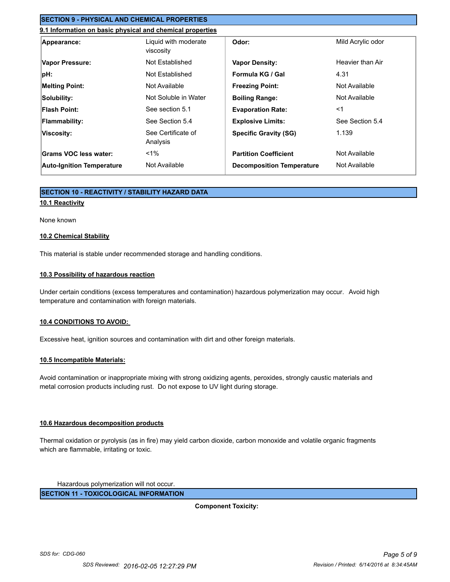## **SECTION 9 - PHYSICAL AND CHEMICAL PROPERTIES**

## **9.1 Information on basic physical and chemical properties**

| Appearance:                      | Liquid with moderate<br>viscosity | Odor:                            | Mild Acrylic odor |
|----------------------------------|-----------------------------------|----------------------------------|-------------------|
| Vapor Pressure:                  | Not Established                   | <b>Vapor Density:</b>            | Heavier than Air  |
| pH:                              | Not Established                   | Formula KG / Gal                 | 4.31              |
| <b>Melting Point:</b>            | Not Available                     | <b>Freezing Point:</b>           | Not Available     |
| Solubility:                      | Not Soluble in Water              | <b>Boiling Range:</b>            | Not Available     |
| Flash Point:                     | See section 5.1                   | <b>Evaporation Rate:</b>         | $<$ 1             |
| <b>Flammability:</b>             | See Section 5.4                   | <b>Explosive Limits:</b>         | See Section 5.4   |
| Viscosity:                       | See Certificate of<br>Analysis    | <b>Specific Gravity (SG)</b>     | 1.139             |
| Grams VOC less water:            | $1\%$                             | <b>Partition Coefficient</b>     | Not Available     |
| <b>Auto-Ignition Temperature</b> | Not Available                     | <b>Decomposition Temperature</b> | Not Available     |

## **SECTION 10 - REACTIVITY / STABILITY HAZARD DATA**

## **10.1 Reactivity**

#### None known

#### **10.2 Chemical Stability**

This material is stable under recommended storage and handling conditions.

#### **10.3 Possibility of hazardous reaction**

Under certain conditions (excess temperatures and contamination) hazardous polymerization may occur. Avoid high temperature and contamination with foreign materials.

#### **10.4 CONDITIONS TO AVOID:**

Excessive heat, ignition sources and contamination with dirt and other foreign materials.

#### **10.5 Incompatible Materials:**

Avoid contamination or inappropriate mixing with strong oxidizing agents, peroxides, strongly caustic materials and metal corrosion products including rust. Do not expose to UV light during storage.

#### **10.6 Hazardous decomposition products**

Thermal oxidation or pyrolysis (as in fire) may yield carbon dioxide, carbon monoxide and volatile organic fragments which are flammable, irritating or toxic.

Hazardous polymerization will not occur.

**SECTION 11 - TOXICOLOGICAL INFORMATION**

**Component Toxicity:**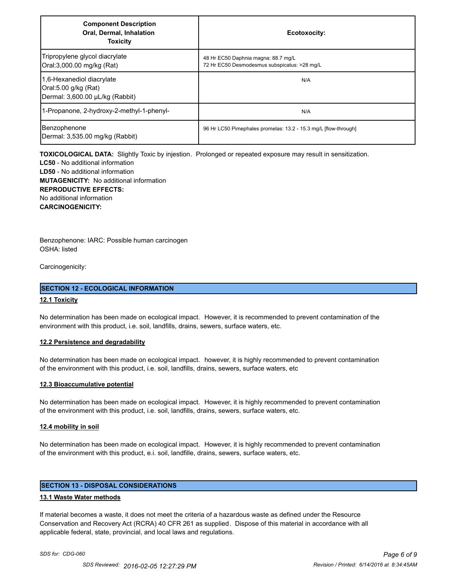| <b>Component Description</b><br>Oral, Dermal, Inhalation<br><b>Toxicity</b>          | Ecotoxocity:                                                                        |
|--------------------------------------------------------------------------------------|-------------------------------------------------------------------------------------|
| Tripropylene glycol diacrylate<br>Oral:3,000.00 mg/kg (Rat)                          | 48 Hr EC50 Daphnia magna: 88.7 mg/L<br>72 Hr EC50 Desmodesmus subspicatus: >28 mg/L |
| 1,6-Hexanediol diacrylate<br>Oral:5.00 g/kg (Rat)<br>Dermal: 3,600.00 µL/kg (Rabbit) | N/A                                                                                 |
| 1-Propanone, 2-hydroxy-2-methyl-1-phenyl-                                            | N/A                                                                                 |
| Benzophenone<br>Dermal: 3,535.00 mg/kg (Rabbit)                                      | 96 Hr LC50 Pimephales promelas: 13.2 - 15.3 mg/L [flow-through]                     |

**TOXICOLOGICAL DATA:** Slightly Toxic by injestion. Prolonged or repeated exposure may result in sensitization.

**LC50** - No additional information **LD50** - No additional information **MUTAGENICITY:** No additional information **REPRODUCTIVE EFFECTS:** No additional information **CARCINOGENICITY:**

Benzophenone: IARC: Possible human carcinogen OSHA: listed

Carcinogenicity:

#### **SECTION 12 - ECOLOGICAL INFORMATION**

#### **12.1 Toxicity**

No determination has been made on ecological impact. However, it is recommended to prevent contamination of the environment with this product, i.e. soil, landfills, drains, sewers, surface waters, etc.

#### **12.2 Persistence and degradability**

No determination has been made on ecological impact. however, it is highly recommended to prevent contamination of the environment with this product, i.e. soil, landfills, drains, sewers, surface waters, etc

#### **12.3 Bioaccumulative potential**

No determination has been made on ecological impact. However, it is highly recommended to prevent contamination of the environment with this product, i.e. soil, landfills, drains, sewers, surface waters, etc.

#### **12.4 mobility in soil**

No determination has been made on ecological impact. However, it is highly recommended to prevent contamination of the environment with this product, e.i. soil, landfille, drains, sewers, surface waters, etc.

## **SECTION 13 - DISPOSAL CONSIDERATIONS**

#### **13.1 Waste Water methods**

If material becomes a waste, it does not meet the criteria of a hazardous waste as defined under the Resource Conservation and Recovery Act (RCRA) 40 CFR 261 as supplied. Dispose of this material in accordance with all applicable federal, state, provincial, and local laws and regulations.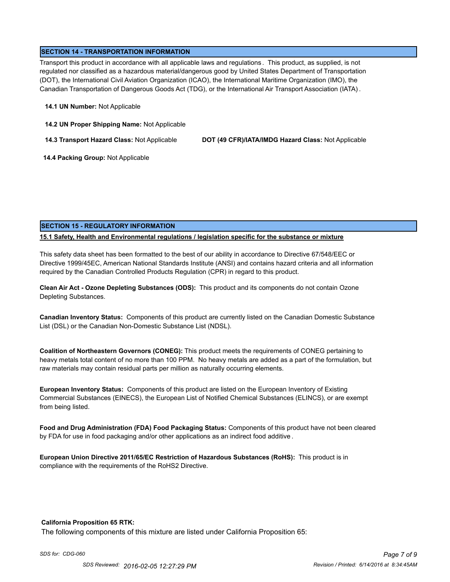## **SECTION 14 - TRANSPORTATION INFORMATION**

Transport this product in accordance with all applicable laws and regulations . This product, as supplied, is not regulated nor classified as a hazardous material/dangerous good by United States Department of Transportation (DOT), the International Civil Aviation Organization (ICAO), the International Maritime Organization (IMO), the Canadian Transportation of Dangerous Goods Act (TDG), or the International Air Transport Association (IATA) .

#### **14.1 UN Number:** Not Applicable

**14.2 UN Proper Shipping Name:** Not Applicable

**14.3 Transport Hazard Class:** Not Applicable **DOT (49 CFR)/IATA/IMDG Hazard Class:** Not Applicable

 **14.4 Packing Group:** Not Applicable

## **SECTION 15 - REGULATORY INFORMATION**

## **15.1 Safety, Health and Environmental regulations / legislation specific for the substance or mixture**

This safety data sheet has been formatted to the best of our ability in accordance to Directive 67/548/EEC or Directive 1999/45EC, American National Standards Institute (ANSI) and contains hazard criteria and all information required by the Canadian Controlled Products Regulation (CPR) in regard to this product.

**Clean Air Act - Ozone Depleting Substances (ODS):** This product and its components do not contain Ozone Depleting Substances.

**Canadian Inventory Status:** Components of this product are currently listed on the Canadian Domestic Substance List (DSL) or the Canadian Non-Domestic Substance List (NDSL).

**Coalition of Northeastern Governors (CONEG):** This product meets the requirements of CONEG pertaining to heavy metals total content of no more than 100 PPM. No heavy metals are added as a part of the formulation, but raw materials may contain residual parts per million as naturally occurring elements.

**European Inventory Status:** Components of this product are listed on the European Inventory of Existing Commercial Substances (EINECS), the European List of Notified Chemical Substances (ELINCS), or are exempt from being listed.

**Food and Drug Administration (FDA) Food Packaging Status:** Components of this product have not been cleared by FDA for use in food packaging and/or other applications as an indirect food additive .

**European Union Directive 2011/65/EC Restriction of Hazardous Substances (RoHS):** This product is in compliance with the requirements of the RoHS2 Directive.

#### **California Proposition 65 RTK:**

The following components of this mixture are listed under California Proposition 65: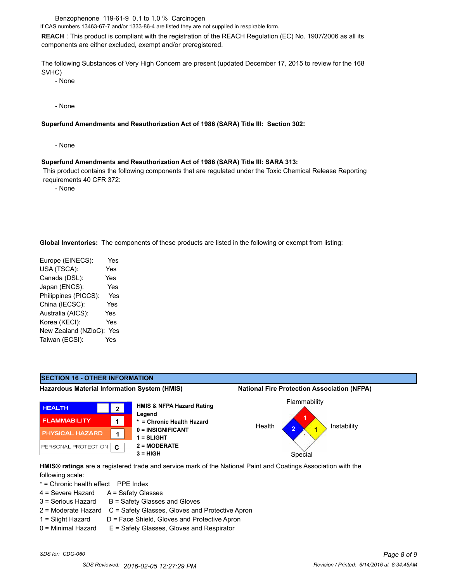Benzophenone 119-61-9 0.1 to 1.0 % Carcinogen

If CAS numbers 13463-67-7 and/or 1333-86-4 are listed they are not supplied in respirable form.

**REACH** : This product is compliant with the registration of the REACH Regulation (EC) No. 1907/2006 as all its components are either excluded, exempt and/or preregistered.

The following Substances of Very High Concern are present (updated December 17, 2015 to review for the 168 SVHC)

- None

- None

#### **Superfund Amendments and Reauthorization Act of 1986 (SARA) Title III: Section 302:**

- None

#### **Superfund Amendments and Reauthorization Act of 1986 (SARA) Title III: SARA 313:**

 This product contains the following components that are regulated under the Toxic Chemical Release Reporting requirements 40 CFR 372:

- None

**Global Inventories:** The components of these products are listed in the following or exempt from listing:

| Europe (EINECS):     | Yes        |
|----------------------|------------|
| USA (TSCA):          | Yes        |
| Canada (DSL):        | <b>Yes</b> |
| Japan (ENCS):        | Yes        |
| Philippines (PICCS): | Yes        |
| China (IECSC):       | Yes        |
| Australia (AICS):    | Yes        |
| Korea (KECI):        | Yes        |
| New Zealand (NZloC): | Yes        |
| Taiwan (ECSI):       | Yes        |
|                      |            |



**HMIS® ratings** are a registered trade and service mark of the National Paint and Coatings Association with the following scale:

\* = Chronic health effect PPE Index

- 4 = Severe Hazard A = Safety Glasses
- $3 =$  Serious Hazard  $B =$  Safety Glasses and Gloves
- 2 = Moderate Hazard C = Safety Glasses, Gloves and Protective Apron
- 1 = Slight Hazard D = Face Shield, Gloves and Protective Apron
- 0 = Minimal Hazard E = Safety Glasses, Gloves and Respirator